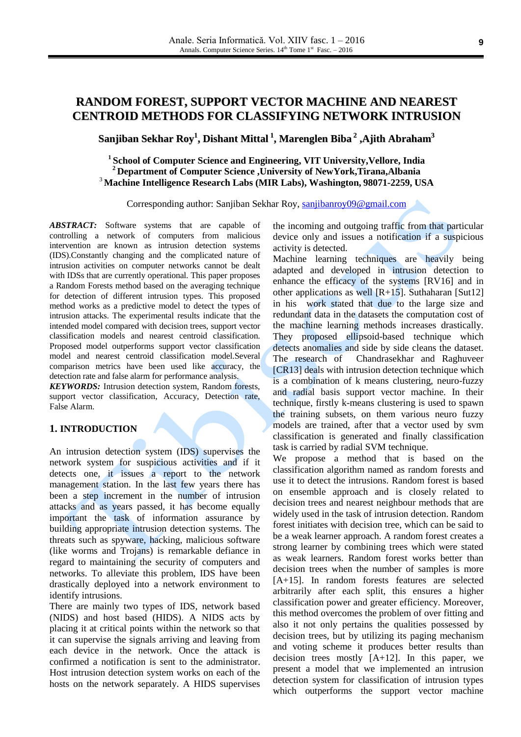# **RANDOM FOREST, SUPPORT VECTOR MACHINE AND NEAREST CENTROID METHODS FOR CLASSIFYING NETWORK INTRUSION**

**Sanjiban Sekhar Roy 1 , Dishant Mittal 1 , Marenglen Biba 2 ,Ajith Abraham 3**

**1 School of Computer Science and Engineering, VIT University,Vellore, India <sup>2</sup> Department of Computer Science ,University of NewYork,Tirana,Albania** <sup>3</sup> **Machine Intelligence Research Labs (MIR Labs), Washington, 98071-2259, USA**

Corresponding author: Sanjiban Sekhar Roy, [sanjibanroy09@gmail.com](mailto:sanjibanroy09@gmail.com)

*ABSTRACT:* Software systems that are capable of controlling a network of computers from malicious intervention are known as intrusion detection systems (IDS).Constantly changing and the complicated nature of intrusion activities on computer networks cannot be dealt with IDSs that are currently operational. This paper proposes a Random Forests method based on the averaging technique for detection of different intrusion types. This proposed method works as a predictive model to detect the types of intrusion attacks. The experimental results indicate that the intended model compared with decision trees, support vector classification models and nearest centroid classification. Proposed model outperforms support vector classification model and nearest centroid classification model.Several comparison metrics have been used like accuracy, the detection rate and false alarm for performance analysis.

*KEYWORDS:* Intrusion detection system, Random forests, support vector classification, Accuracy, Detection rate, False Alarm.

# **1. INTRODUCTION**

An intrusion detection system (IDS) supervises the network system for suspicious activities and if it detects one, it issues a report to the network management station. In the last few years there has been a step increment in the number of intrusion attacks and as years passed, it has become equally important the task of information assurance by building appropriate intrusion detection systems. The threats such as spyware, hacking, malicious software (like worms and Trojans) is remarkable defiance in regard to maintaining the security of computers and networks. To alleviate this problem, IDS have been drastically deployed into a network environment to identify intrusions.

There are mainly two types of IDS, network based (NIDS) and host based (HIDS). A NIDS acts by placing it at critical points within the network so that it can supervise the signals arriving and leaving from each device in the network. Once the attack is confirmed a notification is sent to the administrator. Host intrusion detection system works on each of the hosts on the network separately. A HIDS supervises

the incoming and outgoing traffic from that particular device only and issues a notification if a suspicious activity is detected.

Machine learning techniques are heavily being adapted and developed in intrusion detection to enhance the efficacy of the systems [RV16] and in other applications as well  $[R+15]$ . Suthaharan [Sut12] in his work stated that due to the large size and redundant data in the datasets the computation cost of the machine learning methods increases drastically. They proposed ellipsoid-based technique which detects anomalies and side by side cleans the dataset. The research of Chandrasekhar and Raghuveer [CR13] deals with intrusion detection technique which is a combination of k means clustering, neuro-fuzzy and radial basis support vector machine. In their technique, firstly k-means clustering is used to spawn the training subsets, on them various neuro fuzzy models are trained, after that a vector used by svm classification is generated and finally classification task is carried by radial SVM technique.

We propose a method that is based on the classification algorithm named as random forests and use it to detect the intrusions. Random forest is based on ensemble approach and is closely related to decision trees and nearest neighbour methods that are widely used in the task of intrusion detection. Random forest initiates with decision tree, which can be said to be a weak learner approach. A random forest creates a strong learner by combining trees which were stated as weak learners. Random forest works better than decision trees when the number of samples is more [A+15]. In random forests features are selected arbitrarily after each split, this ensures a higher classification power and greater efficiency. Moreover, this method overcomes the problem of over fitting and also it not only pertains the qualities possessed by decision trees, but by utilizing its paging mechanism and voting scheme it produces better results than decision trees mostly [A+12]. In this paper, we present a model that we implemented an intrusion detection system for classification of intrusion types which outperforms the support vector machine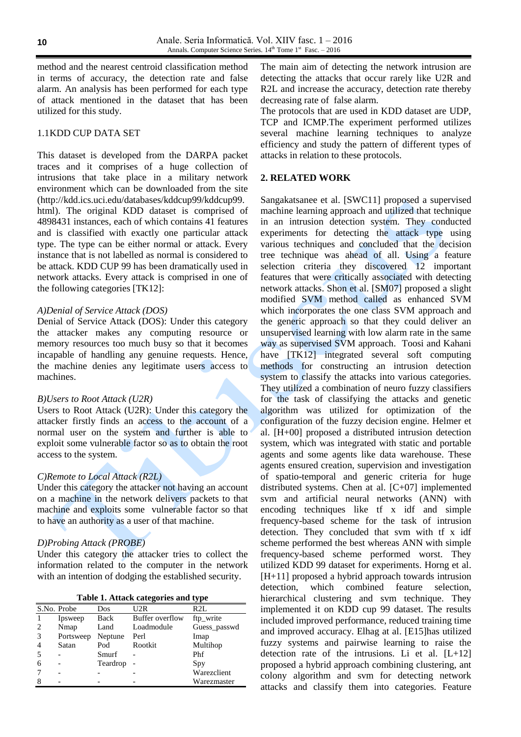method and the nearest centroid classification method in terms of accuracy, the detection rate and false alarm. An analysis has been performed for each type of attack mentioned in the dataset that has been utilized for this study.

### 1.1KDD CUP DATA SET

This dataset is developed from the DARPA packet traces and it comprises of a huge collection of intrusions that take place in a military network environment which can be downloaded from the site (http://kdd.ics.uci.edu/databases/kddcup99/kddcup99. html). The original KDD dataset is comprised of 4898431 instances, each of which contains 41 features and is classified with exactly one particular attack type. The type can be either normal or attack. Every instance that is not labelled as normal is considered to be attack. KDD CUP 99 has been dramatically used in network attacks. Every attack is comprised in one of the following categories [TK12]:

### *A)Denial of Service Attack (DOS)*

Denial of Service Attack (DOS): Under this category the attacker makes any computing resource or memory resources too much busy so that it becomes incapable of handling any genuine requests. Hence, the machine denies any legitimate users access to machines.

### *B)Users to Root Attack (U2R)*

Users to Root Attack (U2R): Under this category the attacker firstly finds an access to the account of a normal user on the system and further is able to exploit some vulnerable factor so as to obtain the root access to the system.

### *C)Remote to Local Attack (R2L)*

Under this category the attacker not having an account on a machine in the network delivers packets to that machine and exploits some vulnerable factor so that to have an authority as a user of that machine.

### *D)Probing Attack (PROBE)*

Under this category the attacker tries to collect the information related to the computer in the network with an intention of dodging the established security.

| Table 1. Attack categories and type |  |  |  |
|-------------------------------------|--|--|--|
|-------------------------------------|--|--|--|

|   | S.No. Probe | Dos      | U2R             | R2L          |
|---|-------------|----------|-----------------|--------------|
|   | Ipsweep     | Back     | Buffer overflow | ftp_write    |
|   | Nmap        | Land     | Loadmodule      | Guess_passwd |
| 3 | Portsweep   | Neptune  | Perl            | Imap         |
|   | Satan       | Pod      | Rootkit         | Multihop     |
|   |             | Smurf    |                 | Phf          |
| 6 |             | Teardrop |                 | Spy          |
|   |             |          |                 | Warezclient  |
|   |             |          |                 | Warezmaster  |

The main aim of detecting the network intrusion are detecting the attacks that occur rarely like U2R and R2L and increase the accuracy, detection rate thereby decreasing rate of false alarm.

The protocols that are used in KDD dataset are UDP, TCP and ICMP.The experiment performed utilizes several machine learning techniques to analyze efficiency and study the pattern of different types of attacks in relation to these protocols.

### **2. RELATED WORK**

Sangakatsanee et al. [SWC11] proposed a supervised machine learning approach and utilized that technique in an intrusion detection system. They conducted experiments for detecting the attack type using various techniques and concluded that the decision tree technique was ahead of all. Using a feature selection criteria they discovered 12 important features that were critically associated with detecting network attacks. Shon et al. [SM07] proposed a slight modified SVM method called as enhanced SVM which incorporates the one class SVM approach and the generic approach so that they could deliver an unsupervised learning with low alarm rate in the same way as supervised SVM approach. Toosi and Kahani have [TK12] integrated several soft computing methods for constructing an intrusion detection system to classify the attacks into various categories. They utilized a combination of neuro fuzzy classifiers for the task of classifying the attacks and genetic algorithm was utilized for optimization of the configuration of the fuzzy decision engine. Helmer et al. [H+00] proposed a distributed intrusion detection system, which was integrated with static and portable agents and some agents like data warehouse. These agents ensured creation, supervision and investigation of spatio-temporal and generic criteria for huge distributed systems. Chen at al. [C+07] implemented svm and artificial neural networks (ANN) with encoding techniques like tf x idf and simple frequency-based scheme for the task of intrusion detection. They concluded that svm with tf x idf scheme performed the best whereas ANN with simple frequency-based scheme performed worst. They utilized KDD 99 dataset for experiments. Horng et al. [H+11] proposed a hybrid approach towards intrusion detection, which combined feature selection, hierarchical clustering and svm technique. They implemented it on KDD cup 99 dataset. The results included improved performance, reduced training time and improved accuracy. Elhag at al. [E15]has utilized fuzzy systems and pairwise learning to raise the detection rate of the intrusions. Li et al. [L+12] proposed a hybrid approach combining clustering, ant colony algorithm and svm for detecting network attacks and classify them into categories. Feature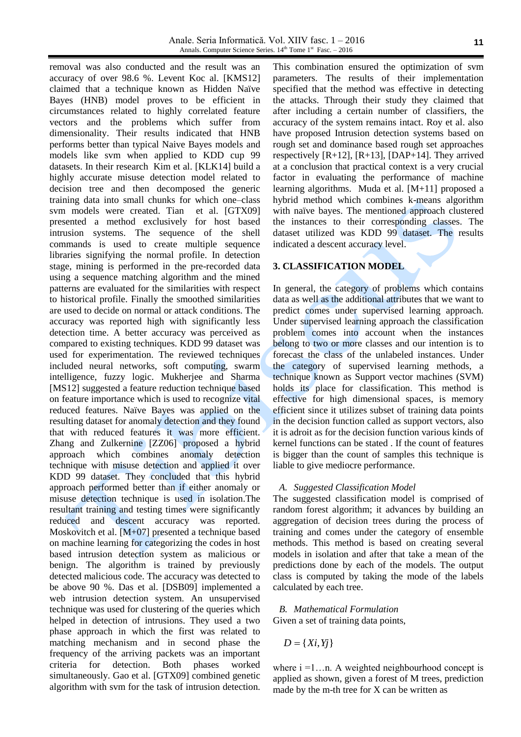removal was also conducted and the result was an accuracy of over 98.6 %. Levent Koc al. [KMS12] claimed that a technique known as Hidden Naïve Bayes (HNB) model proves to be efficient in circumstances related to highly correlated feature vectors and the problems which suffer from dimensionality. Their results indicated that HNB performs better than typical Naive Bayes models and models like svm when applied to KDD cup 99 datasets. In their research Kim et al. [KLK14] build a highly accurate misuse detection model related to decision tree and then decomposed the generic training data into small chunks for which one–class svm models were created. Tian et al. [GTX09] presented a method exclusively for host based intrusion systems. The sequence of the shell commands is used to create multiple sequence libraries signifying the normal profile. In detection stage, mining is performed in the pre-recorded data using a sequence matching algorithm and the mined patterns are evaluated for the similarities with respect to historical profile. Finally the smoothed similarities are used to decide on normal or attack conditions. The accuracy was reported high with significantly less detection time. A better accuracy was perceived as compared to existing techniques. KDD 99 dataset was used for experimentation. The reviewed techniques included neural networks, soft computing, swarm intelligence, fuzzy logic. Mukherjee and Sharma [MS12] suggested a feature reduction technique based on feature importance which is used to recognize vital reduced features. Naïve Bayes was applied on the resulting dataset for anomaly detection and they found that with reduced features it was more efficient. Zhang and Zulkernine [ZZ06] proposed a hybrid approach which combines anomaly detection technique with misuse detection and applied it over KDD 99 dataset. They concluded that this hybrid approach performed better than if either anomaly or misuse detection technique is used in isolation.The resultant training and testing times were significantly reduced and descent accuracy was reported. Moskovitch et al. [M+07] presented a technique based on machine learning for categorizing the codes in host based intrusion detection system as malicious or benign. The algorithm is trained by previously detected malicious code. The accuracy was detected to be above 90 %. Das et al. [DSB09] implemented a web intrusion detection system. An unsupervised technique was used for clustering of the queries which helped in detection of intrusions. They used a two phase approach in which the first was related to matching mechanism and in second phase the frequency of the arriving packets was an important criteria for detection. Both phases worked simultaneously. Gao et al. [GTX09] combined genetic algorithm with svm for the task of intrusion detection.

This combination ensured the optimization of svm parameters. The results of their implementation specified that the method was effective in detecting the attacks. Through their study they claimed that after including a certain number of classifiers, the accuracy of the system remains intact. Roy et al. also have proposed Intrusion detection systems based on rough set and dominance based rough set approaches respectively  $[R+12]$ ,  $[R+13]$ ,  $[DAP+14]$ . They arrived at a conclusion that practical context is a very crucial factor in evaluating the performance of machine learning algorithms. Muda et al. [M+11] proposed a hybrid method which combines k-means algorithm with naïve bayes. The mentioned approach clustered the instances to their corresponding classes. The dataset utilized was KDD 99 dataset. The results indicated a descent accuracy level.

# **3. CLASSIFICATION MODEL**

In general, the category of problems which contains data as well as the additional attributes that we want to predict comes under supervised learning approach. Under supervised learning approach the classification problem comes into account when the instances belong to two or more classes and our intention is to forecast the class of the unlabeled instances. Under the category of supervised learning methods, a technique known as Support vector machines (SVM) holds its place for classification. This method is effective for high dimensional spaces, is memory efficient since it utilizes subset of training data points in the decision function called as support vectors, also it is adroit as for the decision function various kinds of kernel functions can be stated . If the count of features is bigger than the count of samples this technique is liable to give mediocre performance.

#### *A. Suggested Classification Model*

The suggested classification model is comprised of random forest algorithm; it advances by building an aggregation of decision trees during the process of training and comes under the category of ensemble methods. This method is based on creating several models in isolation and after that take a mean of the predictions done by each of the models. The output class is computed by taking the mode of the labels calculated by each tree.

### *B. Mathematical Formulation* Given a set of training data points,

 $D = \{Xi, Yj\}$ 

where  $i = 1...n$ . A weighted neighbourhood concept is applied as shown, given a forest of M trees, prediction made by the m-th tree for X can be written as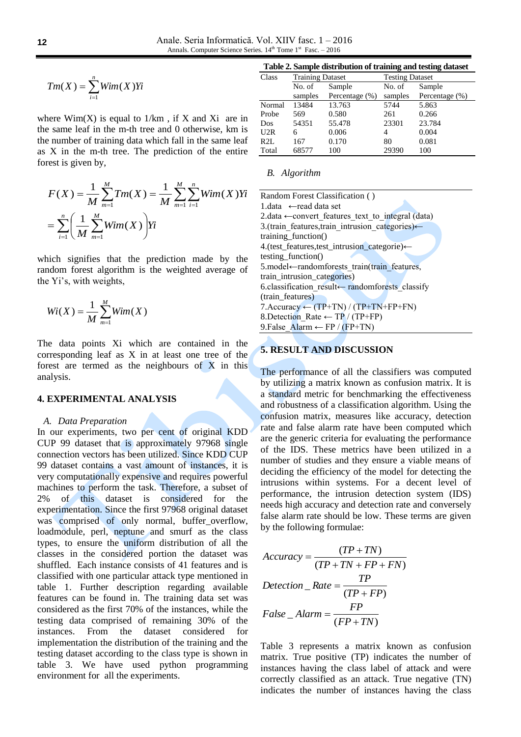$$
Tm(X) = \sum_{i=1}^{n} Wim(X)Yi
$$

where  $Wim(X)$  is equal to  $1/km$ , if X and Xi are in the same leaf in the m-th tree and 0 otherwise, km is the number of training data which fall in the same leaf as X in the m-th tree. The prediction of the entire forest is given by,

$$
F(X) = \frac{1}{M} \sum_{m=1}^{M} Tm(X) = \frac{1}{M} \sum_{m=1}^{M} \sum_{i=1}^{n} Wim(X)Yi
$$
  
= 
$$
\sum_{i=1}^{n} \left(\frac{1}{M} \sum_{m=1}^{M} Wim(X)\right)Yi
$$

which signifies that the prediction made by the random forest algorithm is the weighted average of the Yi's, with weights,

$$
Wi(X) = \frac{1}{M} \sum_{m=1}^{M} Wim(X)
$$

The data points Xi which are contained in the corresponding leaf as X in at least one tree of the forest are termed as the neighbours of  $X$  in this analysis.

# **4. EXPERIMENTAL ANALYSIS**

#### *A. Data Preparation*

In our experiments, two per cent of original KDD CUP 99 dataset that is approximately 97968 single connection vectors has been utilized. Since KDD CUP 99 dataset contains a vast amount of instances, it is very computationally expensive and requires powerful machines to perform the task. Therefore, a subset of 2% of this dataset is considered for the experimentation. Since the first 97968 original dataset was comprised of only normal, buffer\_overflow, loadmodule, perl, neptune and smurf as the class types, to ensure the uniform distribution of all the classes in the considered portion the dataset was shuffled. Each instance consists of 41 features and is classified with one particular attack type mentioned in table 1. Further description regarding available features can be found in. The training data set was considered as the first 70% of the instances, while the testing data comprised of remaining 30% of the instances. From the dataset considered for implementation the distribution of the training and the testing dataset according to the class type is shown in table 3. We have used python programming environment for all the experiments.

**Table 2. Sample distribution of training and testing dataset**

| Class  | <b>Training Dataset</b> |                | <b>Testing Dataset</b> |                |  |
|--------|-------------------------|----------------|------------------------|----------------|--|
|        | No. of                  | Sample         | No. of                 | Sample         |  |
|        | samples                 | Percentage (%) | samples                | Percentage (%) |  |
| Normal | 13484                   | 13.763         | 5744                   | 5.863          |  |
| Probe  | 569                     | 0.580          | 261                    | 0.266          |  |
| Dos    | 54351                   | 55.478         | 23301                  | 23.784         |  |
| U2R    | 6                       | 0.006          | 4                      | 0.004          |  |
| R2L    | 167                     | 0.170          | 80                     | 0.081          |  |
| Total  | 68577                   | 100            | 29390                  | 100            |  |

#### *B. Algorithm*

Random Forest Classification ( ) 1.data ←read data set 2.data  $\leftarrow$  convert features text to integral (data) 3.(train\_features,train\_intrusion\_categories)← training\_function() 4.(test\_features,test\_intrusion\_categorie)← testing\_function() 5.model←randomforests\_train(train\_features, train\_intrusion\_categories) 6.classification\_result← randomforests\_classify (train features) 7.Accuracy  $\leftarrow$  (TP+TN) / (TP+TN+FP+FN) 8.Detection Rate ← TP / (TP+FP) 9.False\_Alarm ← FP / (FP+TN)

# **5. RESULT AND DISCUSSION**

The performance of all the classifiers was computed by utilizing a matrix known as confusion matrix. It is a standard metric for benchmarking the effectiveness and robustness of a classification algorithm. Using the confusion matrix, measures like accuracy, detection rate and false alarm rate have been computed which are the generic criteria for evaluating the performance of the IDS. These metrics have been utilized in a number of studies and they ensure a viable means of deciding the efficiency of the model for detecting the intrusions within systems. For a decent level of performance, the intrusion detection system (IDS) needs high accuracy and detection rate and conversely false alarm rate should be low. These terms are given by the following formulae:

$$
Accuracy = \frac{(TP + TN)}{(TP + TN + FP + FN)}
$$

$$
Detection\_Rate = \frac{TP}{(TP + FP)}
$$

$$
False\_Alarm = \frac{FP}{(FP + TN)}
$$

Table 3 represents a matrix known as confusion matrix. True positive (TP) indicates the number of instances having the class label of attack and were correctly classified as an attack. True negative (TN) indicates the number of instances having the class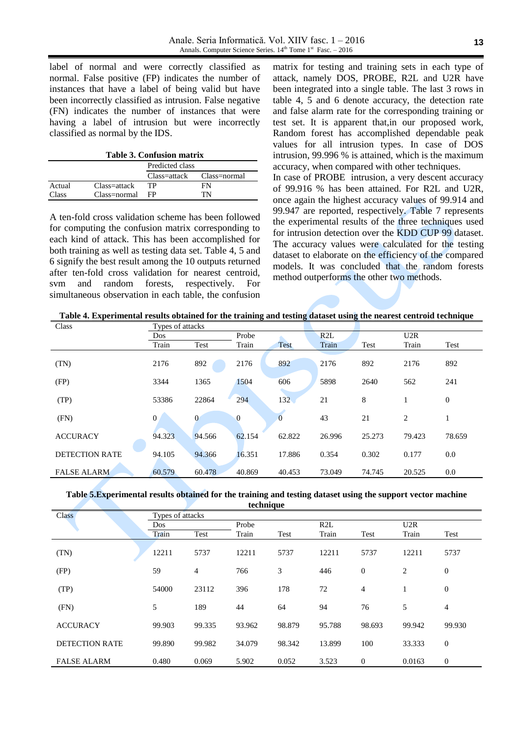label of normal and were correctly classified as normal. False positive (FP) indicates the number of instances that have a label of being valid but have been incorrectly classified as intrusion. False negative (FN) indicates the number of instances that were having a label of intrusion but were incorrectly classified as normal by the IDS.

| <b>Table 3. Confusion matrix</b> |  |
|----------------------------------|--|
|----------------------------------|--|

|        |                           | Predicted class |    |  |  |  |
|--------|---------------------------|-----------------|----|--|--|--|
|        | Class=attack Class=normal |                 |    |  |  |  |
| Actual | Class=attack              | TР              | FN |  |  |  |
| Class  | Class=normal              | FP              | TN |  |  |  |

A ten-fold cross validation scheme has been followed for computing the confusion matrix corresponding to each kind of attack. This has been accomplished for both training as well as testing data set. Table 4, 5 and 6 signify the best result among the 10 outputs returned after ten-fold cross validation for nearest centroid, svm and random forests, respectively. For simultaneous observation in each table, the confusion

matrix for testing and training sets in each type of attack, namely DOS, PROBE, R2L and U2R have been integrated into a single table. The last 3 rows in table 4, 5 and 6 denote accuracy, the detection rate and false alarm rate for the corresponding training or test set. It is apparent that,in our proposed work, Random forest has accomplished dependable peak values for all intrusion types. In case of DOS intrusion, 99.996 % is attained, which is the maximum accuracy, when compared with other techniques. In case of PROBE intrusion, a very descent accuracy

of 99.916 % has been attained. For R2L and U2R, once again the highest accuracy values of 99.914 and 99.947 are reported, respectively. Table 7 represents the experimental results of the three techniques used for intrusion detection over the KDD CUP 99 dataset. The accuracy values were calculated for the testing dataset to elaborate on the efficiency of the compared models. It was concluded that the random forests method outperforms the other two methods.

**Table 4. Experimental results obtained for the training and testing dataset using the nearest centroid technique**

| Class                 | Types of attacks |                |              |             |        |        |                |              |
|-----------------------|------------------|----------------|--------------|-------------|--------|--------|----------------|--------------|
|                       | Dos              |                | Probe        |             | R2L    |        | U2R            |              |
|                       | Train            | Test           | Train        | <b>Test</b> | Train  | Test   | Train          | Test         |
|                       |                  |                |              |             |        |        |                |              |
| (TN)                  | 2176             | 892            | 2176         | 892         | 2176   | 892    | 2176           | 892          |
| (FP)                  | 3344             | 1365           | 1504         | 606         | 5898   | 2640   | 562            | 241          |
| (TP)                  | 53386            | 22864          | 294          | 132         | 21     | 8      |                | $\mathbf{0}$ |
| (FN)                  | 0                | $\overline{0}$ | $\mathbf{0}$ | $\theta$    | 43     | 21     | $\overline{2}$ |              |
| <b>ACCURACY</b>       | 94.323           | 94.566         | 62.154       | 62.822      | 26.996 | 25.273 | 79.423         | 78.659       |
| <b>DETECTION RATE</b> | 94.105           | 94.366         | 16.351       | 17.886      | 0.354  | 0.302  | 0.177          | $0.0\,$      |
| <b>FALSE ALARM</b>    | 60.579           | 60.478         | 40.869       | 40.453      | 73.049 | 74.745 | 20.525         | 0.0          |

#### **Table 5.Experimental results obtained for the training and testing dataset using the support vector machine technique**

|                       | ucumque          |                |        |        |        |                  |                |                  |
|-----------------------|------------------|----------------|--------|--------|--------|------------------|----------------|------------------|
| <b>Class</b>          | Types of attacks |                |        |        |        |                  |                |                  |
|                       | <b>Dos</b>       |                | Probe  |        | R2L    |                  | U2R            |                  |
|                       | Train            | Test           | Train  | Test   | Train  | Test             | Train          | Test             |
| (TN)                  | 12211            | 5737           | 12211  | 5737   | 12211  | 5737             | 12211          | 5737             |
| (FP)                  | 59               | $\overline{4}$ | 766    | 3      | 446    | $\boldsymbol{0}$ | $\overline{2}$ | $\mathbf{0}$     |
| (TP)                  | 54000            | 23112          | 396    | 178    | 72     | $\overline{4}$   |                | $\boldsymbol{0}$ |
| (FN)                  | 5                | 189            | 44     | 64     | 94     | 76               | 5              | $\overline{4}$   |
| <b>ACCURACY</b>       | 99.903           | 99.335         | 93.962 | 98.879 | 95.788 | 98.693           | 99.942         | 99.930           |
| <b>DETECTION RATE</b> | 99.890           | 99.982         | 34.079 | 98.342 | 13.899 | 100              | 33.333         | $\mathbf{0}$     |
| <b>FALSE ALARM</b>    | 0.480            | 0.069          | 5.902  | 0.052  | 3.523  | $\mathbf{0}$     | 0.0163         | $\boldsymbol{0}$ |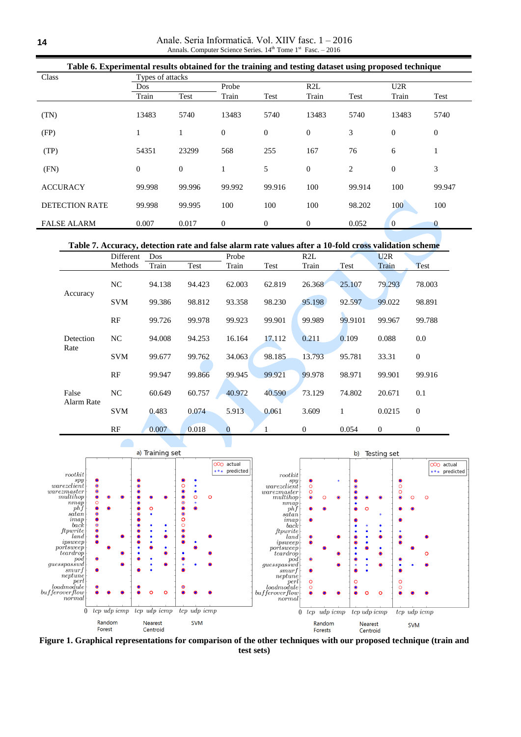Anale. Seria Informatică. Vol. XIIV fasc. 1 – 2016 Annals. Computer Science Series.  $14^{th}$  Tome  $1^{st}$  Fasc. - 2016

| Table 6. Experimental results obtained for the training and testing dataset using proposed technique |                  |              |                |              |                  |        |              |                  |  |
|------------------------------------------------------------------------------------------------------|------------------|--------------|----------------|--------------|------------------|--------|--------------|------------------|--|
| Class                                                                                                | Types of attacks |              |                |              |                  |        |              |                  |  |
|                                                                                                      | Dos              |              | Probe          |              | R2L              |        | U2R          |                  |  |
|                                                                                                      | Train            | Test         | Train          | Test         | Train            | Test   | Train        | Test             |  |
| (TN)                                                                                                 | 13483            | 5740         | 13483          | 5740         | 13483            | 5740   | 13483        | 5740             |  |
| (FP)                                                                                                 |                  | 1            | $\overline{0}$ | $\mathbf{0}$ | $\boldsymbol{0}$ | 3      | $\mathbf{0}$ | $\boldsymbol{0}$ |  |
| (TP)                                                                                                 | 54351            | 23299        | 568            | 255          | 167              | 76     | 6            | 1                |  |
| (FN)                                                                                                 | $\theta$         | $\mathbf{0}$ |                | 5            | $\boldsymbol{0}$ | 2      | $\mathbf{0}$ | 3                |  |
| <b>ACCURACY</b>                                                                                      | 99.998           | 99.996       | 99.992         | 99.916       | 100              | 99.914 | 100          | 99.947           |  |
| <b>DETECTION RATE</b>                                                                                | 99.998           | 99.995       | 100            | 100          | 100              | 98.202 | 100          | 100              |  |
| <b>FALSE ALARM</b>                                                                                   | 0.007            | 0.017        | $\theta$       | $\mathbf{0}$ | 0                | 0.052  | $\theta$     | $\bf{0}$         |  |

**Table 7. Accuracy, detection rate and false alarm rate values after a 10-fold cross validation scheme**

|                     | Different  | Dos    |        | Probe          |        | R2L          |         | U2R          |                  |
|---------------------|------------|--------|--------|----------------|--------|--------------|---------|--------------|------------------|
|                     | Methods    | Train  | Test   | Train          | Test   | Train        | Test    | Train        | Test             |
|                     | NC         | 94.138 | 94.423 | 62.003         | 62.819 | 26.368       | 25.107  | 79.293       | 78.003           |
| Accuracy            | <b>SVM</b> | 99.386 | 98.812 | 93.358         | 98.230 | 95.198       | 92.597  | 99.022       | 98.891           |
|                     | RF         | 99.726 | 99.978 | 99.923         | 99.901 | 99.989       | 99.9101 | 99.967       | 99.788           |
| Detection<br>Rate   | NC.        | 94.008 | 94.253 | 16.164         | 17.112 | 0.211        | 0.109   | 0.088        | 0.0              |
|                     | <b>SVM</b> | 99.677 | 99.762 | 34.063         | 98.185 | 13.793       | 95.781  | 33.31        | $\boldsymbol{0}$ |
|                     | RF         | 99.947 | 99.866 | 99.945         | 99.921 | 99.978       | 98.971  | 99.901       | 99.916           |
| False<br>Alarm Rate | NC.        | 60.649 | 60.757 | 40.972         | 40.590 | 73.129       | 74.802  | 20.671       | 0.1              |
|                     | <b>SVM</b> | 0.483  | 0.074  | 5.913          | 0.061  | 3.609        | 1       | 0.0215       | $\theta$         |
|                     | RF         | 0.007  | 0.018  | $\overline{0}$ |        | $\mathbf{0}$ | 0.054   | $\mathbf{0}$ | $\boldsymbol{0}$ |



**Figure 1. Graphical representations for comparison of the other techniques with our proposed technique (train and test sets)**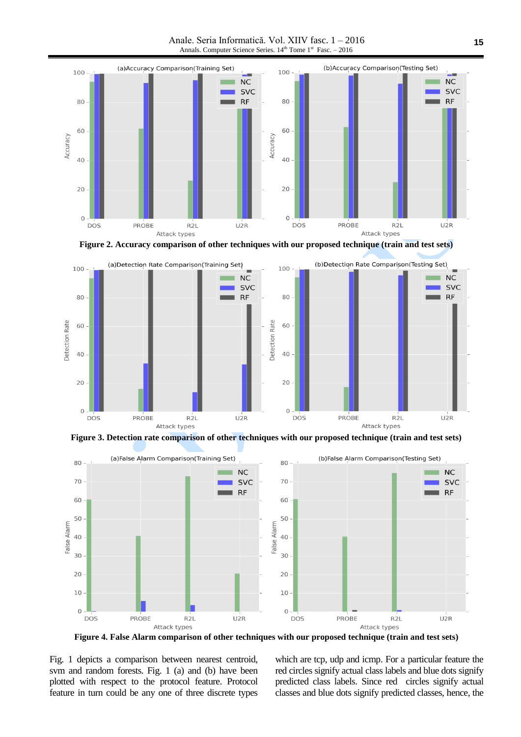Anale. Seria Informatică. Vol. XIIV fasc. 1 – 2016 Annals. Computer Science Series.  $14<sup>th</sup>$  Tome  $1<sup>st</sup>$  Fasc. – 2016



**Figure 2. Accuracy comparison of other techniques with our proposed technique (train and test sets)**



**Figure 3. Detection rate comparison of other techniques with our proposed technique (train and test sets)**



**Figure 4. False Alarm comparison of other techniques with our proposed technique (train and test sets)**

Fig. 1 depicts a comparison between nearest centroid, svm and random forests. Fig. 1 (a) and (b) have been plotted with respect to the protocol feature. Protocol feature in turn could be any one of three discrete types which are tcp, udp and icmp. For a particular feature the red circles signify actual class labels and blue dots signify predicted class labels. Since red circles signify actual classes and blue dots signify predicted classes, hence, the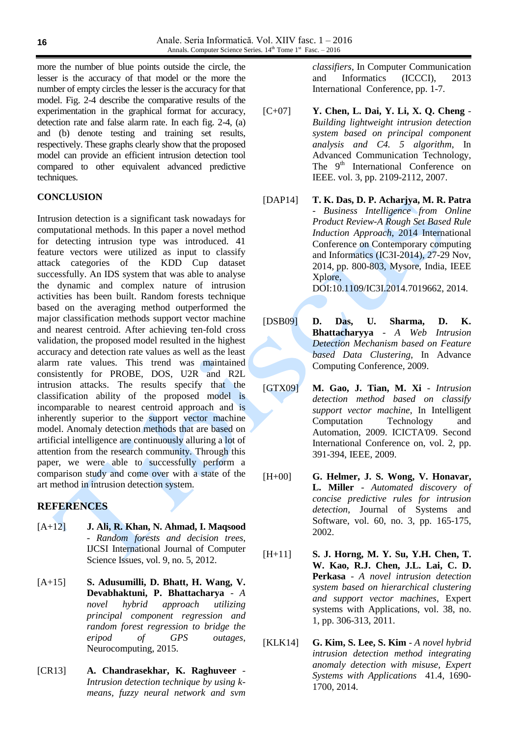more the number of blue points outside the circle, the lesser is the accuracy of that model or the more the number of empty circles the lesser is the accuracy for that model. Fig. 2-4 describe the comparative results of the experimentation in the graphical format for accuracy, detection rate and false alarm rate. In each fig. 2-4, (a) and (b) denote testing and training set results, respectively. These graphs clearly show that the proposed model can provide an efficient intrusion detection tool compared to other equivalent advanced predictive techniques.

# **CONCLUSION**

Intrusion detection is a significant task nowadays for computational methods. In this paper a novel method for detecting intrusion type was introduced. 41 feature vectors were utilized as input to classify attack categories of the KDD Cup dataset successfully. An IDS system that was able to analyse the dynamic and complex nature of intrusion activities has been built. Random forests technique based on the averaging method outperformed the major classification methods support vector machine and nearest centroid. After achieving ten-fold cross validation, the proposed model resulted in the highest accuracy and detection rate values as well as the least alarm rate values. This trend was maintained consistently for PROBE, DOS, U2R and R2L intrusion attacks. The results specify that the classification ability of the proposed model is incomparable to nearest centroid approach and is inherently superior to the support vector machine model. Anomaly detection methods that are based on artificial intelligence are continuously alluring a lot of attention from the research community. Through this paper, we were able to successfully perform a comparison study and come over with a state of the art method in intrusion detection system.

# **REFERENCES**

- [A+12] **J. Ali, R. Khan, N. Ahmad, I. Maqsood** - *Random forests and decision trees*, IJCSI International Journal of Computer Science Issues, vol. 9, no. 5, 2012.
- [A+15] **S. Adusumilli, D. Bhatt, H. Wang, V. Devabhaktuni, P. Bhattacharya** - *A novel hybrid approach utilizing principal component regression and random forest regression to bridge the eripod of GPS outages*, Neurocomputing, 2015.
- [CR13] **A. Chandrasekhar, K. Raghuveer** *Intrusion detection technique by using kmeans, fuzzy neural network and svm*

*classifiers*, In Computer Communication and Informatics (ICCCI), 2013 International Conference, pp. 1-7.

- [C+07] **Y. Chen, L. Dai, Y. Li, X. Q. Cheng** *Building lightweight intrusion detection system based on principal component analysis and C4. 5 algorithm*, In Advanced Communication Technology, The 9<sup>th</sup> International Conference on IEEE. vol. 3, pp. 2109-2112, 2007.
- [DAP14] **T. K. Das, D. P. Acharjya, M. R. Patra** - *Business Intelligence from Online Product Review-A Rough Set Based Rule Induction Approach*, 2014 International Conference on Contemporary computing and Informatics (IC3I-2014), 27-29 Nov, 2014, pp. 800-803, Mysore, India, IEEE Xplore, DOI:10.1109/IC3I.2014.7019662, 2014.

[DSB09] **D. Das, U. Sharma, D. K. Bhattacharyya** - *A Web Intrusion Detection Mechanism based on Feature based Data Clustering*, In Advance Computing Conference, 2009.

- [GTX09] **M. Gao, J. Tian, M. Xi** *Intrusion detection method based on classify support vector machine*, In Intelligent Computation Technology and Automation, 2009. ICICTA'09. Second International Conference on, vol. 2, pp. 391-394, IEEE, 2009.
- [H+00] **G. Helmer, J. S. Wong, V. Honavar, L. Miller** - *Automated discovery of concise predictive rules for intrusion detection*, Journal of Systems and Software, vol. 60, no. 3, pp. 165-175, 2002.
- [H+11] **S. J. Horng, M. Y. Su, Y.H. Chen, T. W. Kao, R.J. Chen, J.L. Lai, C. D. Perkasa** - *A novel intrusion detection system based on hierarchical clustering and support vector machines*, Expert systems with Applications, vol. 38, no. 1, pp. 306-313, 2011.
- [KLK14] **G. Kim, S. Lee, S. Kim** *A novel hybrid intrusion detection method integrating anomaly detection with misuse, Expert Systems with Applications* 41.4, 1690- 1700, 2014.